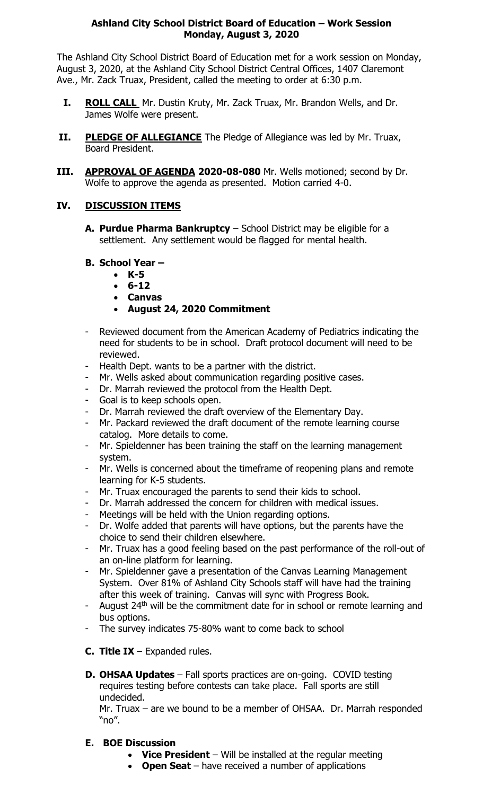#### **Ashland City School District Board of Education – Work Session Monday, August 3, 2020**

The Ashland City School District Board of Education met for a work session on Monday, August 3, 2020, at the Ashland City School District Central Offices, 1407 Claremont Ave., Mr. Zack Truax, President, called the meeting to order at 6:30 p.m.

- **I. ROLL CALL** Mr. Dustin Kruty, Mr. Zack Truax, Mr. Brandon Wells, and Dr. James Wolfe were present.
- **II. PLEDGE OF ALLEGIANCE** The Pledge of Allegiance was led by Mr. Truax, Board President.
- **III. APPROVAL OF AGENDA 2020-08-080** Mr. Wells motioned; second by Dr. Wolfe to approve the agenda as presented. Motion carried 4-0.

## **IV. DISCUSSION ITEMS**

**A. Purdue Pharma Bankruptcy** – School District may be eligible for a settlement. Any settlement would be flagged for mental health.

## **B. School Year –**

- **K-5**
- **6-12**
- **Canvas**
- **August 24, 2020 Commitment**
- Reviewed document from the American Academy of Pediatrics indicating the need for students to be in school. Draft protocol document will need to be reviewed.
- Health Dept. wants to be a partner with the district.
- Mr. Wells asked about communication regarding positive cases.
- Dr. Marrah reviewed the protocol from the Health Dept.
- Goal is to keep schools open.
- Dr. Marrah reviewed the draft overview of the Elementary Day.
- Mr. Packard reviewed the draft document of the remote learning course catalog. More details to come.
- Mr. Spieldenner has been training the staff on the learning management system.
- Mr. Wells is concerned about the timeframe of reopening plans and remote learning for K-5 students.
- Mr. Truax encouraged the parents to send their kids to school.
- Dr. Marrah addressed the concern for children with medical issues.
- Meetings will be held with the Union regarding options.
- Dr. Wolfe added that parents will have options, but the parents have the choice to send their children elsewhere.
- Mr. Truax has a good feeling based on the past performance of the roll-out of an on-line platform for learning.
- Mr. Spieldenner gave a presentation of the Canvas Learning Management System. Over 81% of Ashland City Schools staff will have had the training after this week of training. Canvas will sync with Progress Book.
- August 24<sup>th</sup> will be the commitment date for in school or remote learning and bus options.
- The survey indicates 75-80% want to come back to school
- **C. Title IX** Expanded rules.
- **D. OHSAA Updates** Fall sports practices are on-going. COVID testing requires testing before contests can take place. Fall sports are still undecided.

Mr. Truax – are we bound to be a member of OHSAA. Dr. Marrah responded "no".

## **E. BOE Discussion**

- **Vice President**  Will be installed at the regular meeting
- **Open Seat**  have received a number of applications